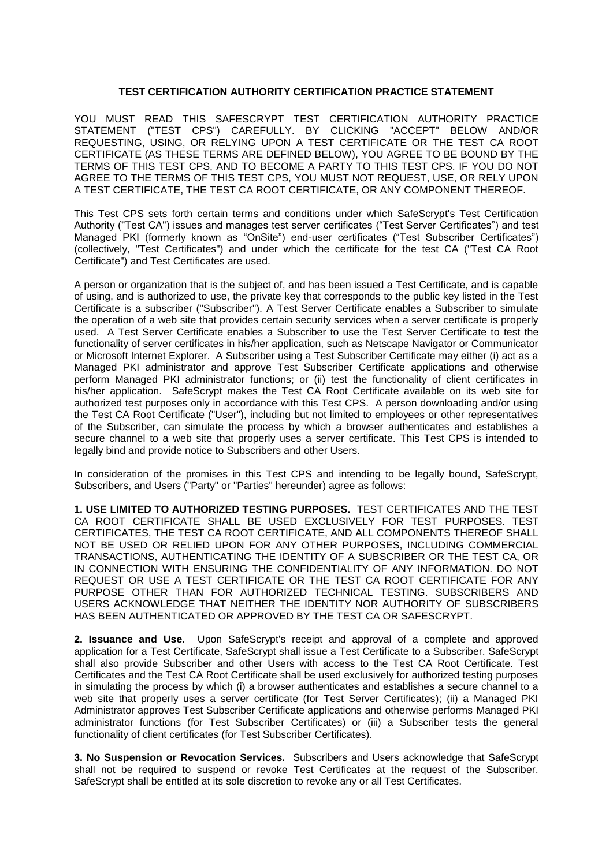## **TEST CERTIFICATION AUTHORITY CERTIFICATION PRACTICE STATEMENT**

YOU MUST READ THIS SAFESCRYPT TEST CERTIFICATION AUTHORITY PRACTICE STATEMENT ("TEST CPS") CAREFULLY. BY CLICKING "ACCEPT" BELOW AND/OR REQUESTING, USING, OR RELYING UPON A TEST CERTIFICATE OR THE TEST CA ROOT CERTIFICATE (AS THESE TERMS ARE DEFINED BELOW), YOU AGREE TO BE BOUND BY THE TERMS OF THIS TEST CPS, AND TO BECOME A PARTY TO THIS TEST CPS. IF YOU DO NOT AGREE TO THE TERMS OF THIS TEST CPS, YOU MUST NOT REQUEST, USE, OR RELY UPON A TEST CERTIFICATE, THE TEST CA ROOT CERTIFICATE, OR ANY COMPONENT THEREOF.

This Test CPS sets forth certain terms and conditions under which SafeScrypt's Test Certification Authority ("Test CA") issues and manages test server certificates ("Test Server Certificates") and test Managed PKI (formerly known as "OnSite") end-user certificates ("Test Subscriber Certificates") (collectively, "Test Certificates") and under which the certificate for the test CA ("Test CA Root Certificate") and Test Certificates are used.

A person or organization that is the subject of, and has been issued a Test Certificate, and is capable of using, and is authorized to use, the private key that corresponds to the public key listed in the Test Certificate is a subscriber ("Subscriber"). A Test Server Certificate enables a Subscriber to simulate the operation of a web site that provides certain security services when a server certificate is properly used. A Test Server Certificate enables a Subscriber to use the Test Server Certificate to test the functionality of server certificates in his/her application, such as Netscape Navigator or Communicator or Microsoft Internet Explorer. A Subscriber using a Test Subscriber Certificate may either (i) act as a Managed PKI administrator and approve Test Subscriber Certificate applications and otherwise perform Managed PKI administrator functions; or (ii) test the functionality of client certificates in his/her application. SafeScrypt makes the Test CA Root Certificate available on its web site for authorized test purposes only in accordance with this Test CPS. A person downloading and/or using the Test CA Root Certificate ("User"), including but not limited to employees or other representatives of the Subscriber, can simulate the process by which a browser authenticates and establishes a secure channel to a web site that properly uses a server certificate. This Test CPS is intended to legally bind and provide notice to Subscribers and other Users.

In consideration of the promises in this Test CPS and intending to be legally bound, SafeScrypt, Subscribers, and Users ("Party" or "Parties" hereunder) agree as follows:

**1. USE LIMITED TO AUTHORIZED TESTING PURPOSES.** TEST CERTIFICATES AND THE TEST CA ROOT CERTIFICATE SHALL BE USED EXCLUSIVELY FOR TEST PURPOSES. TEST CERTIFICATES, THE TEST CA ROOT CERTIFICATE, AND ALL COMPONENTS THEREOF SHALL NOT BE USED OR RELIED UPON FOR ANY OTHER PURPOSES, INCLUDING COMMERCIAL TRANSACTIONS, AUTHENTICATING THE IDENTITY OF A SUBSCRIBER OR THE TEST CA, OR IN CONNECTION WITH ENSURING THE CONFIDENTIALITY OF ANY INFORMATION. DO NOT REQUEST OR USE A TEST CERTIFICATE OR THE TEST CA ROOT CERTIFICATE FOR ANY PURPOSE OTHER THAN FOR AUTHORIZED TECHNICAL TESTING. SUBSCRIBERS AND USERS ACKNOWLEDGE THAT NEITHER THE IDENTITY NOR AUTHORITY OF SUBSCRIBERS HAS BEEN AUTHENTICATED OR APPROVED BY THE TEST CA OR SAFESCRYPT.

**2. Issuance and Use.** Upon SafeScrypt's receipt and approval of a complete and approved application for a Test Certificate, SafeScrypt shall issue a Test Certificate to a Subscriber. SafeScrypt shall also provide Subscriber and other Users with access to the Test CA Root Certificate. Test Certificates and the Test CA Root Certificate shall be used exclusively for authorized testing purposes in simulating the process by which (i) a browser authenticates and establishes a secure channel to a web site that properly uses a server certificate (for Test Server Certificates); (ii) a Managed PKI Administrator approves Test Subscriber Certificate applications and otherwise performs Managed PKI administrator functions (for Test Subscriber Certificates) or (iii) a Subscriber tests the general functionality of client certificates (for Test Subscriber Certificates).

**3. No Suspension or Revocation Services.** Subscribers and Users acknowledge that SafeScrypt shall not be required to suspend or revoke Test Certificates at the request of the Subscriber. SafeScrypt shall be entitled at its sole discretion to revoke any or all Test Certificates.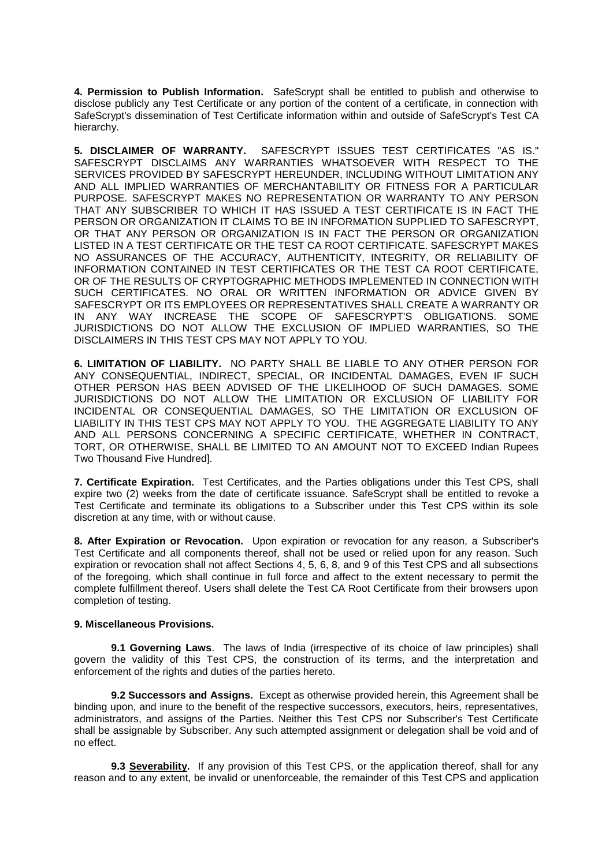**4. Permission to Publish Information.** SafeScrypt shall be entitled to publish and otherwise to disclose publicly any Test Certificate or any portion of the content of a certificate, in connection with SafeScrypt's dissemination of Test Certificate information within and outside of SafeScrypt's Test CA hierarchy.

**5. DISCLAIMER OF WARRANTY.** SAFESCRYPT ISSUES TEST CERTIFICATES "AS IS." SAFESCRYPT DISCLAIMS ANY WARRANTIES WHATSOEVER WITH RESPECT TO THE SERVICES PROVIDED BY SAFESCRYPT HEREUNDER, INCLUDING WITHOUT LIMITATION ANY AND ALL IMPLIED WARRANTIES OF MERCHANTABILITY OR FITNESS FOR A PARTICULAR PURPOSE. SAFESCRYPT MAKES NO REPRESENTATION OR WARRANTY TO ANY PERSON THAT ANY SUBSCRIBER TO WHICH IT HAS ISSUED A TEST CERTIFICATE IS IN FACT THE PERSON OR ORGANIZATION IT CLAIMS TO BE IN INFORMATION SUPPLIED TO SAFESCRYPT, OR THAT ANY PERSON OR ORGANIZATION IS IN FACT THE PERSON OR ORGANIZATION LISTED IN A TEST CERTIFICATE OR THE TEST CA ROOT CERTIFICATE. SAFESCRYPT MAKES NO ASSURANCES OF THE ACCURACY, AUTHENTICITY, INTEGRITY, OR RELIABILITY OF INFORMATION CONTAINED IN TEST CERTIFICATES OR THE TEST CA ROOT CERTIFICATE, OR OF THE RESULTS OF CRYPTOGRAPHIC METHODS IMPLEMENTED IN CONNECTION WITH SUCH CERTIFICATES. NO ORAL OR WRITTEN INFORMATION OR ADVICE GIVEN BY SAFESCRYPT OR ITS EMPLOYEES OR REPRESENTATIVES SHALL CREATE A WARRANTY OR IN ANY WAY INCREASE THE SCOPE OF SAFESCRYPT'S OBLIGATIONS. SOME JURISDICTIONS DO NOT ALLOW THE EXCLUSION OF IMPLIED WARRANTIES, SO THE DISCLAIMERS IN THIS TEST CPS MAY NOT APPLY TO YOU.

**6. LIMITATION OF LIABILITY.** NO PARTY SHALL BE LIABLE TO ANY OTHER PERSON FOR ANY CONSEQUENTIAL, INDIRECT, SPECIAL, OR INCIDENTAL DAMAGES, EVEN IF SUCH OTHER PERSON HAS BEEN ADVISED OF THE LIKELIHOOD OF SUCH DAMAGES. SOME JURISDICTIONS DO NOT ALLOW THE LIMITATION OR EXCLUSION OF LIABILITY FOR INCIDENTAL OR CONSEQUENTIAL DAMAGES, SO THE LIMITATION OR EXCLUSION OF LIABILITY IN THIS TEST CPS MAY NOT APPLY TO YOU. THE AGGREGATE LIABILITY TO ANY AND ALL PERSONS CONCERNING A SPECIFIC CERTIFICATE, WHETHER IN CONTRACT, TORT, OR OTHERWISE, SHALL BE LIMITED TO AN AMOUNT NOT TO EXCEED Indian Rupees Two Thousand Five Hundred].

**7. Certificate Expiration.** Test Certificates, and the Parties obligations under this Test CPS, shall expire two (2) weeks from the date of certificate issuance. SafeScrypt shall be entitled to revoke a Test Certificate and terminate its obligations to a Subscriber under this Test CPS within its sole discretion at any time, with or without cause.

**8. After Expiration or Revocation.** Upon expiration or revocation for any reason, a Subscriber's Test Certificate and all components thereof, shall not be used or relied upon for any reason. Such expiration or revocation shall not affect Sections 4, 5, 6, 8, and 9 of this Test CPS and all subsections of the foregoing, which shall continue in full force and affect to the extent necessary to permit the complete fulfillment thereof. Users shall delete the Test CA Root Certificate from their browsers upon completion of testing.

## **9. Miscellaneous Provisions.**

**9.1 Governing Laws**. The laws of India (irrespective of its choice of law principles) shall govern the validity of this Test CPS, the construction of its terms, and the interpretation and enforcement of the rights and duties of the parties hereto.

**9.2 Successors and Assigns.** Except as otherwise provided herein, this Agreement shall be binding upon, and inure to the benefit of the respective successors, executors, heirs, representatives, administrators, and assigns of the Parties. Neither this Test CPS nor Subscriber's Test Certificate shall be assignable by Subscriber. Any such attempted assignment or delegation shall be void and of no effect.

**9.3 Severability.** If any provision of this Test CPS, or the application thereof, shall for any reason and to any extent, be invalid or unenforceable, the remainder of this Test CPS and application